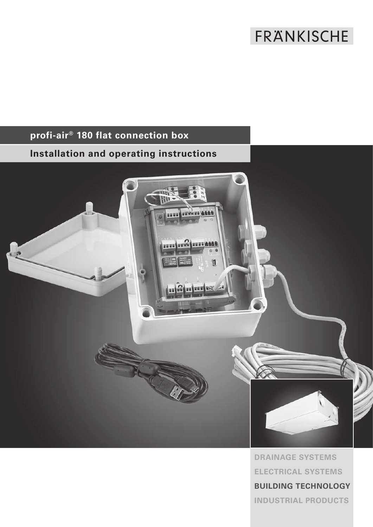# FRANKISCHE

## **profi-air® 180 flat connection box**

## **Installation and operating instructions**



**DRAINAGE SYSTEMS ELECTRICAL SYSTEMS BUILDING TECHNOLOGY INDUSTRIAL PRODUCTS**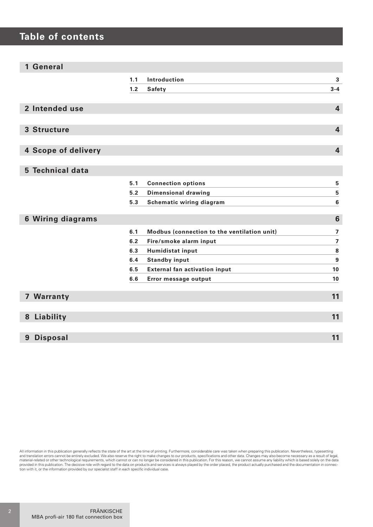## **Table of contents**

| 1 General                |       |                                             |                         |
|--------------------------|-------|---------------------------------------------|-------------------------|
|                          | 1.1   | Introduction                                | 3                       |
|                          | 1.2   | <b>Safety</b>                               | $3 - 4$                 |
|                          |       |                                             |                         |
| 2 Intended use           |       |                                             | $\overline{\mathbf{4}}$ |
|                          |       |                                             |                         |
| 3 Structure              |       |                                             | $\overline{\mathbf{4}}$ |
|                          |       |                                             |                         |
| 4 Scope of delivery      |       |                                             | $\overline{\mathbf{4}}$ |
|                          |       |                                             |                         |
| 5 Technical data         |       |                                             |                         |
|                          | 5.1   | <b>Connection options</b>                   | 5                       |
|                          | $5.2$ | <b>Dimensional drawing</b>                  | 5                       |
|                          | 5.3   | Schematic wiring diagram                    | $6\phantom{1}$          |
|                          |       |                                             |                         |
| <b>6 Wiring diagrams</b> |       |                                             | 6                       |
|                          | 6.1   | Modbus (connection to the ventilation unit) | $\overline{\mathbf{z}}$ |
|                          | 6.2   | Fire/smoke alarm input                      | $\overline{7}$          |
|                          | 6.3   | Humidistat input                            | 8                       |
|                          | 6.4   | <b>Standby input</b>                        | 9                       |
|                          | 6.5   | <b>External fan activation input</b>        | 10                      |
|                          | 6.6   | Error message output                        | 10                      |
|                          |       |                                             |                         |
| 7 Warranty               |       |                                             | 11                      |
|                          |       |                                             |                         |
| 8 Liability              |       |                                             | 11                      |
|                          |       |                                             |                         |
| <b>Disposal</b><br>9     |       |                                             | 11                      |

All information in this publication generally reflects the state of the art at the time of printing. Furthermore, considerable care was taken when preparing this publication. Nevertheless, typesetting and translation errors cannot be entirely excluded. We also reserve the right to make changes to our products, specifications and other data. Changes may also become necessary as a result of legal, provided in this publica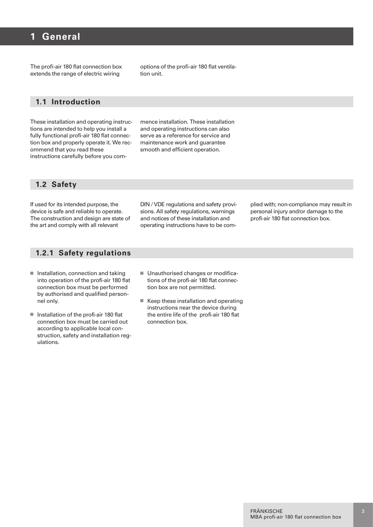## **1 General**

The profi-air 180 flat connection box extends the range of electric wiring

options of the profi-air 180 flat ventilation unit.

#### **1.1 Introduction**

These installation and operating instructions are intended to help you install a fully functional profi-air 180 flat connection box and properly operate it. We recommend that you read these instructions carefully before you commence installation. These installation and operating instructions can also serve as a reference for service and maintenance work and guarantee smooth and efficient operation.

#### **1.2 Safety**

If used for its intended purpose, the device is safe and reliable to operate. The construction and design are state of the art and comply with all relevant

DIN / VDE regulations and safety provisions. All safety regulations, warnings and notices of these installation and operating instructions have to be complied with; non-compliance may result in personal injury and/or damage to the profi-air 180 flat connection box.

#### **1.2.1 Safety regulations**

- $\blacksquare$  Installation, connection and taking into operation of the profi-air 180 flat connection box must be performed by authorised and qualified personnel only.
- $\blacksquare$  Installation of the profi-air 180 flat connection box must be carried out according to applicable local construction, safety and installation regulations.
- Unauthorised changes or modifications of the profi-air 180 flat connection box are not permitted.
- $\blacksquare$  Keep these installation and operating instructions near the device during the entire life of the profi-air 180 flat connection box.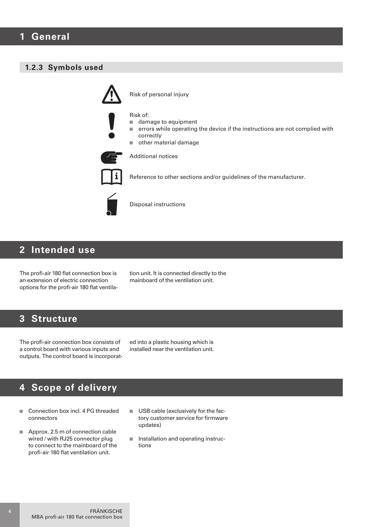#### **1.2.3 Symbols used**



## **2 Intended use**

The profi-air 180 flat connection box is an extension of electric connection options for the profi-air 180 flat ventilation unit. It is connected directly to the mainboard of the ventilation unit.

## **3 Structure**

The profi-air connection box consists of a control board with various inputs and outputs. The control board is incorporated into a plastic housing which is installed near the ventilation unit.

## **4 Scope of delivery**

- Connection box incl. 4 PG threaded connectors
- $\blacksquare$  Approx. 2.5 m of connection cable wired / with RJ25 connector plug to connect to the mainboard of the profi-air 180 flat ventilation unit.
- $\blacksquare$  USB cable (exclusively for the factory customer service for firmware updates)
- $\blacksquare$  Installation and operating instructions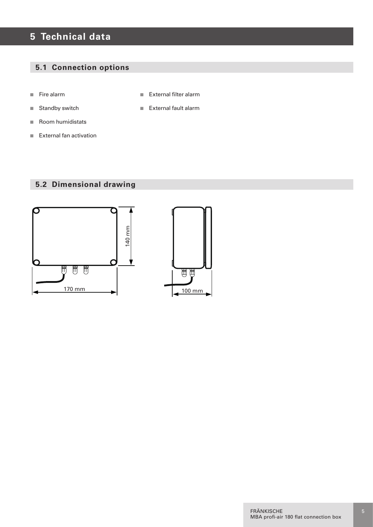## **5 Technical data**

### **5.1 Connection options**

- $\blacksquare$  Fire alarm
- $\blacksquare$  Standby switch
- $\blacksquare$  Room humidistats
- External fan activation

## **5.2 Dimensional drawing**



■ External filter alarm

External fault alarm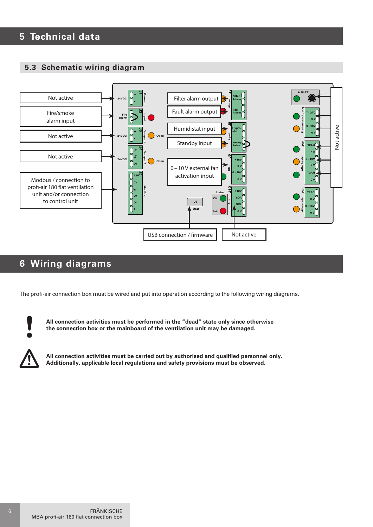## **5 Technical data**

#### **5.3 Schematic wiring diagram**



## **6 Wiring diagrams**

The profi-air connection box must be wired and put into operation according to the following wiring diagrams.



**All connection activities must be performed in the "dead" state only since otherwise the connection box or the mainboard of the ventilation unit may be damaged.**

**All connection activities must be carried out by authorised and qualified personnel only. Additionally, applicable local regulations and safety provisions must be observed.**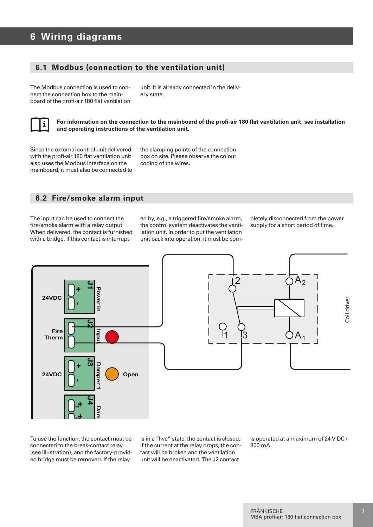## **6 Wiring diagrams**

#### **6.1 Modbus (connection to the ventilation unit)**

The Modbus connection is used to connect the connection box to the mainboard of the profi-air 180 flat ventilation

unit. It is already connected in the delivery state.



**For information on the connection to the mainboard of the profi-air 180 flat ventilation unit, see installation and operating instructions of the ventilation unit.**

Since the external control unit delivered with the profi-air 180 flat ventilation unit also uses the Modbus interface on the mainboard, it must also be connected to the clamping points of the connection box on site. Please observe the colour coding of the wires.

#### **6.2 Fire/smoke alarm input**

The input can be used to connect the fire/smoke alarm with a relay output. When delivered, the contact is furnished with a bridge. If this contact is interrupted by, e.g., a triggered fire/smoke alarm, the control system deactivates the ventilation unit. In order to put the ventilation unit back into operation, it must be completely disconnected from the power supply for a short period of time.



To use the function, the contact must be connected to the break-contact relay (see illustration), and the factory-provid-**J5** ed bridge must be removed. If the relay

is in a "live" state, the contact is closed. If the current at the relay drops, the contact will be broken and the ventilation unit will be deactivated. The J2 contact

is operated at a maximum of 24 V DC /<br>300 mA. 300 mA.

**OK**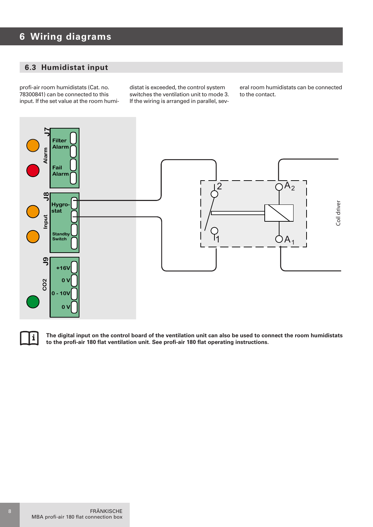## **6 Wiring diagrams**

#### **6.3 Humidistat input**

profi-air room humidistats (Cat. no. 78300841) can be connected to this input. If the set value at the room humi-

distat is exceeded, the control system switches the ventilation unit to mode 3. If the wiring is arranged in parallel, sev-

eral room humidistats can be connected to the contact.





**The digital input on the control board of the ventilation unit can also be used to connect the room humidistats J10 J13 +12V T2AC** to the profi-air 180 flat ventilation unit. See profi-air 180 flat ope<br> **Australian Concept Concept Concept Concept Concept Concept Concept Concept Concept Concept Concept Concept Conc<br>
<b>Alter** Concept Concept Concept Conc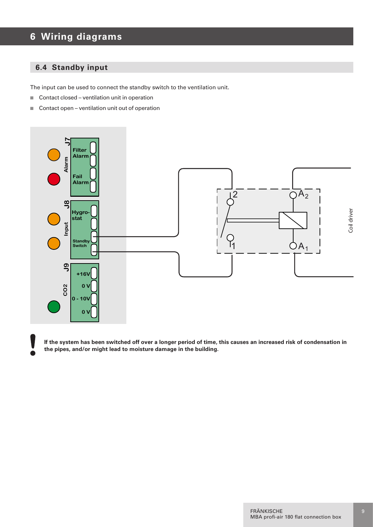## **6 Wiring diagrams**

#### **6.4 Standby input**

The input can be used to connect the standby switch to the ventilation unit.

- $\Box$  Contact closed ventilation unit in operation
- $\Box$  Contact open ventilation unit out of operation



**If the system has been switched off over a longer period of time, this causes an increased risk of condensation in J13 Status T2AC** the pipes, and/or might lead to moisture damage in the building. **Aftercooler OK**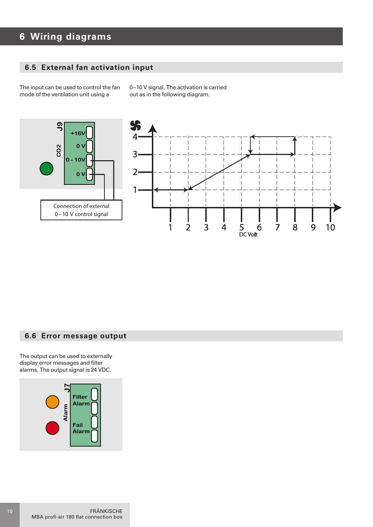#### **6 Wiring diagrams Alarm**

**Fail**

#### **6.5 External fan activation input** ı**al faı**

The input can be used to control the fan **Input** mode of the ventilation unit using a **Standby**

0–10 V signal. The activation is carried out as in the following diagram.

**Pre-heat/cool**

**J11**



#### **6.6 Error message output**

The output can be used to externally display error messages and filter alarms. The output signal is 24 VDC.

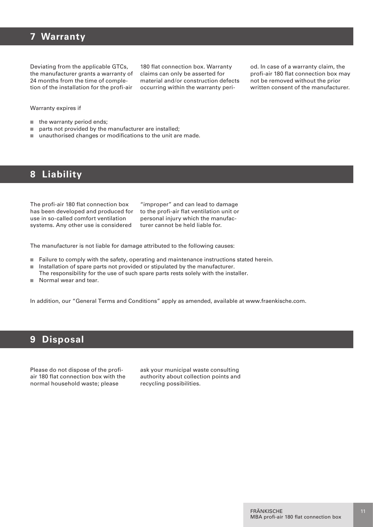## **7 Warranty**

Deviating from the applicable GTCs, the manufacturer grants a warranty of 24 months from the time of completion of the installation for the profi-air

180 flat connection box. Warranty claims can only be asserted for material and/or construction defects occurring within the warranty period. In case of a warranty claim, the profi-air 180 flat connection box may not be removed without the prior written consent of the manufacturer.

Warranty expires if

- $\blacksquare$  the warranty period ends;
- $\Box$  parts not provided by the manufacturer are installed;
- $\blacksquare$  unauthorised changes or modifications to the unit are made.

## **8 Liability**

The profi-air 180 flat connection box has been developed and produced for use in so-called comfort ventilation systems. Any other use is considered

"improper" and can lead to damage to the profi-air flat ventilation unit or personal injury which the manufacturer cannot be held liable for.

The manufacturer is not liable for damage attributed to the following causes:

- Failure to comply with the safety, operating and maintenance instructions stated herein.
- n Installation of spare parts not provided or stipulated by the manufacturer. The responsibility for the use of such spare parts rests solely with the installer.
- $\blacksquare$  Normal wear and tear.

In addition, our "General Terms and Conditions" apply as amended, available at www.fraenkische.com.

### **9 Disposal**

Please do not dispose of the profiair 180 flat connection box with the normal household waste; please

ask your municipal waste consulting authority about collection points and recycling possibilities.